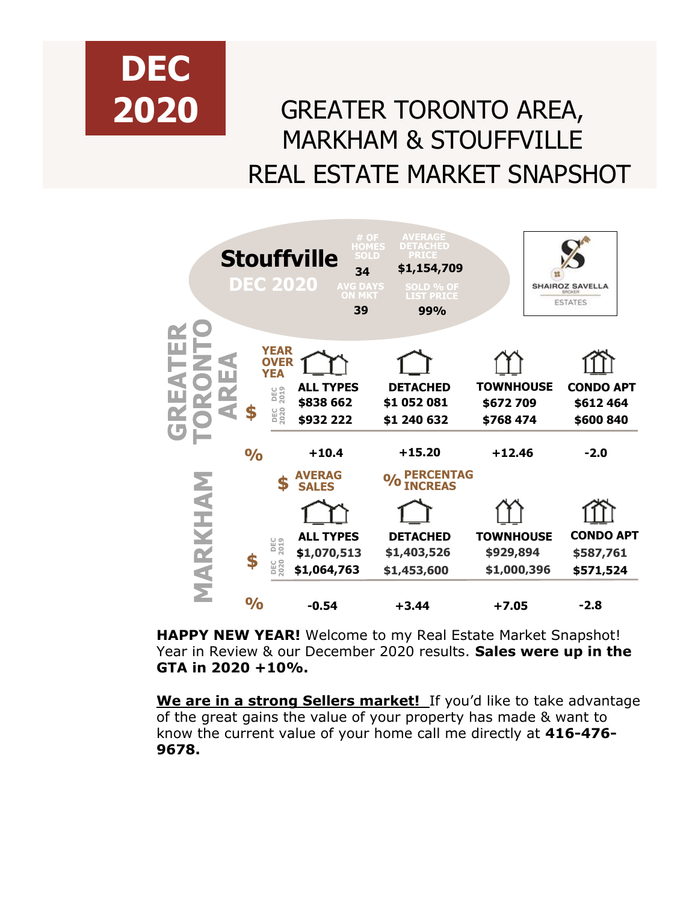

## GREATER TORONTO AREA, MARKHAM & STOUFFVILLE REAL ESTATE MARKET SNAPSHOT



**HAPPY NEW YEAR!** Welcome to my Real Estate Market Snapshot! Year in Review & our December 2020 results. **Sales were up in the GTA in 2020 +10%.** 

**We are in a strong Sellers market!** If you'd like to take advantage of the great gains the value of your property has made & want to know the current value of your home call me directly at **416-476- 9678.**